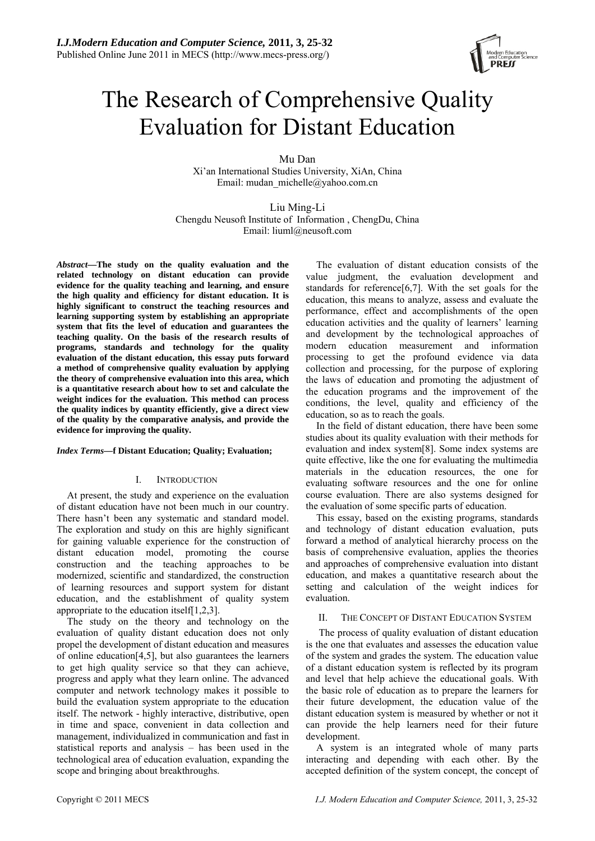

# The Research of Comprehensive Quality Evaluation for Distant Education

Mu Dan Xi'an International Studies University, XiAn, China Email: mudan\_michelle@yahoo.com.cn

Liu Ming-Li Chengdu Neusoft Institute of Information , ChengDu, China Email: liuml@neusoft.com

*Abstract***—The study on the quality evaluation and the related technology on distant education can provide evidence for the quality teaching and learning, and ensure the high quality and efficiency for distant education. It is highly significant to construct the teaching resources and learning supporting system by establishing an appropriate system that fits the level of education and guarantees the teaching quality. On the basis of the research results of programs, standards and technology for the quality evaluation of the distant education, this essay puts forward a method of comprehensive quality evaluation by applying the theory of comprehensive evaluation into this area, which is a quantitative research about how to set and calculate the weight indices for the evaluation. This method can process the quality indices by quantity efficiently, give a direct view of the quality by the comparative analysis, and provide the evidence for improving the quality.** 

## *Index Terms***—f Distant Education; Quality; Evaluation;**

## I. INTRODUCTION

At present, the study and experience on the evaluation of distant education have not been much in our country. There hasn't been any systematic and standard model. The exploration and study on this are highly significant for gaining valuable experience for the construction of distant education model, promoting the course construction and the teaching approaches to be modernized, scientific and standardized, the construction of learning resources and support system for distant education, and the establishment of quality system appropriate to the education itself[1,2,3].

The study on the theory and technology on the evaluation of quality distant education does not only propel the development of distant education and measures of online education[4,5], but also guarantees the learners to get high quality service so that they can achieve, progress and apply what they learn online. The advanced computer and network technology makes it possible to build the evaluation system appropriate to the education itself. The network - highly interactive, distributive, open in time and space, convenient in data collection and management, individualized in communication and fast in statistical reports and analysis – has been used in the technological area of education evaluation, expanding the scope and bringing about breakthroughs.

The evaluation of distant education consists of the value judgment, the evaluation development and standards for reference[6,7]. With the set goals for the education, this means to analyze, assess and evaluate the performance, effect and accomplishments of the open education activities and the quality of learners' learning and development by the technological approaches of modern education measurement and information processing to get the profound evidence via data collection and processing, for the purpose of exploring the laws of education and promoting the adjustment of the education programs and the improvement of the conditions, the level, quality and efficiency of the education, so as to reach the goals.

In the field of distant education, there have been some studies about its quality evaluation with their methods for evaluation and index system[8]. Some index systems are quite effective, like the one for evaluating the multimedia materials in the education resources, the one for evaluating software resources and the one for online course evaluation. There are also systems designed for the evaluation of some specific parts of education.

This essay, based on the existing programs, standards and technology of distant education evaluation, puts forward a method of analytical hierarchy process on the basis of comprehensive evaluation, applies the theories and approaches of comprehensive evaluation into distant education, and makes a quantitative research about the setting and calculation of the weight indices for evaluation.

# II. THE CONCEPT OF DISTANT EDUCATION SYSTEM

 The process of quality evaluation of distant education is the one that evaluates and assesses the education value of the system and grades the system. The education value of a distant education system is reflected by its program and level that help achieve the educational goals. With the basic role of education as to prepare the learners for their future development, the education value of the distant education system is measured by whether or not it can provide the help learners need for their future development.

A system is an integrated whole of many parts interacting and depending with each other. By the accepted definition of the system concept, the concept of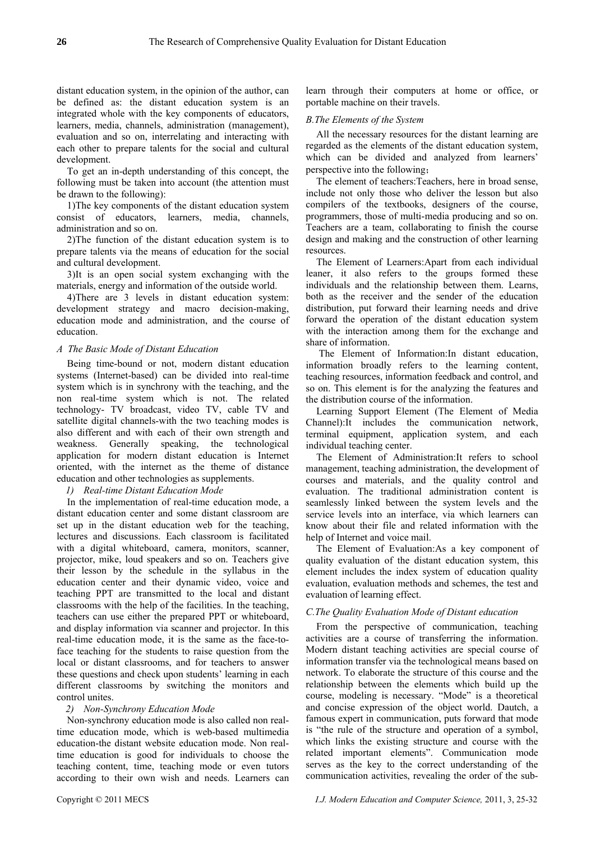distant education system, in the opinion of the author, can be defined as: the distant education system is an integrated whole with the key components of educators, learners, media, channels, administration (management), evaluation and so on, interrelating and interacting with each other to prepare talents for the social and cultural development.

To get an in-depth understanding of this concept, the following must be taken into account (the attention must be drawn to the following):

1)The key components of the distant education system consist of educators, learners, media, channels, administration and so on.

2)The function of the distant education system is to prepare talents via the means of education for the social and cultural development.

3)It is an open social system exchanging with the materials, energy and information of the outside world.

4)There are 3 levels in distant education system: development strategy and macro decision-making, education mode and administration, and the course of education.

# *A The Basic Mode of Distant Education*

Being time-bound or not, modern distant education systems (Internet-based) can be divided into real-time system which is in synchrony with the teaching, and the non real-time system which is not. The related technology- TV broadcast, video TV, cable TV and satellite digital channels-with the two teaching modes is also different and with each of their own strength and weakness. Generally speaking, the technological application for modern distant education is Internet oriented, with the internet as the theme of distance education and other technologies as supplements.

*1) Real-time Distant Education Mode* 

In the implementation of real-time education mode, a distant education center and some distant classroom are set up in the distant education web for the teaching, lectures and discussions. Each classroom is facilitated with a digital whiteboard, camera, monitors, scanner, projector, mike, loud speakers and so on. Teachers give their lesson by the schedule in the syllabus in the education center and their dynamic video, voice and teaching PPT are transmitted to the local and distant classrooms with the help of the facilities. In the teaching, teachers can use either the prepared PPT or whiteboard, and display information via scanner and projector. In this real-time education mode, it is the same as the face-toface teaching for the students to raise question from the local or distant classrooms, and for teachers to answer these questions and check upon students' learning in each different classrooms by switching the monitors and control unites.

## *2) Non-Synchrony Education Mode*

Non-synchrony education mode is also called non realtime education mode, which is web-based multimedia education-the distant website education mode. Non realtime education is good for individuals to choose the teaching content, time, teaching mode or even tutors according to their own wish and needs. Learners can learn through their computers at home or office, or portable machine on their travels.

# *B.The Elements of the System*

All the necessary resources for the distant learning are regarded as the elements of the distant education system, which can be divided and analyzed from learners' perspective into the following;

The element of teachers:Teachers, here in broad sense, include not only those who deliver the lesson but also compilers of the textbooks, designers of the course, programmers, those of multi-media producing and so on. Teachers are a team, collaborating to finish the course design and making and the construction of other learning resources.

The Element of Learners:Apart from each individual leaner, it also refers to the groups formed these individuals and the relationship between them. Learns, both as the receiver and the sender of the education distribution, put forward their learning needs and drive forward the operation of the distant education system with the interaction among them for the exchange and share of information.

 The Element of Information:In distant education, information broadly refers to the learning content, teaching resources, information feedback and control, and so on. This element is for the analyzing the features and the distribution course of the information.

Learning Support Element (The Element of Media Channel):It includes the communication network, terminal equipment, application system, and each individual teaching center.

The Element of Administration:It refers to school management, teaching administration, the development of courses and materials, and the quality control and evaluation. The traditional administration content is seamlessly linked between the system levels and the service levels into an interface, via which learners can know about their file and related information with the help of Internet and voice mail.

The Element of Evaluation:As a key component of quality evaluation of the distant education system, this element includes the index system of education quality evaluation, evaluation methods and schemes, the test and evaluation of learning effect.

## *C.The Quality Evaluation Mode of Distant education*

From the perspective of communication, teaching activities are a course of transferring the information. Modern distant teaching activities are special course of information transfer via the technological means based on network. To elaborate the structure of this course and the relationship between the elements which build up the course, modeling is necessary. "Mode" is a theoretical and concise expression of the object world. Dautch, a famous expert in communication, puts forward that mode is "the rule of the structure and operation of a symbol, which links the existing structure and course with the related important elements". Communication mode serves as the key to the correct understanding of the communication activities, revealing the order of the sub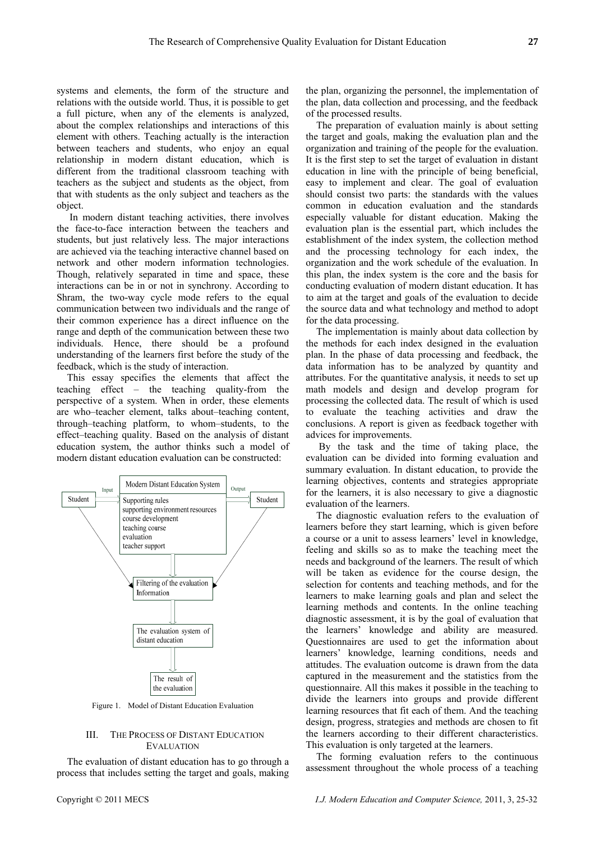systems and elements, the form of the structure and relations with the outside world. Thus, it is possible to get a full picture, when any of the elements is analyzed, about the complex relationships and interactions of this element with others. Teaching actually is the interaction between teachers and students, who enjoy an equal relationship in modern distant education, which is different from the traditional classroom teaching with teachers as the subject and students as the object, from that with students as the only subject and teachers as the object.

 In modern distant teaching activities, there involves the face-to-face interaction between the teachers and students, but just relatively less. The major interactions are achieved via the teaching interactive channel based on network and other modern information technologies. Though, relatively separated in time and space, these interactions can be in or not in synchrony. According to Shram, the two-way cycle mode refers to the equal communication between two individuals and the range of their common experience has a direct influence on the range and depth of the communication between these two individuals. Hence, there should be a profound understanding of the learners first before the study of the feedback, which is the study of interaction.

This essay specifies the elements that affect the teaching effect – the teaching quality-from the perspective of a system. When in order, these elements are who–teacher element, talks about–teaching content, through–teaching platform, to whom–students, to the effect–teaching quality. Based on the analysis of distant education system, the author thinks such a model of modern distant education evaluation can be constructed:



Figure 1. Model of Distant Education Evaluation

## III. THE PROCESS OF DISTANT EDUCATION EVALUATION

The evaluation of distant education has to go through a process that includes setting the target and goals, making the plan, organizing the personnel, the implementation of the plan, data collection and processing, and the feedback of the processed results.

The preparation of evaluation mainly is about setting the target and goals, making the evaluation plan and the organization and training of the people for the evaluation. It is the first step to set the target of evaluation in distant education in line with the principle of being beneficial, easy to implement and clear. The goal of evaluation should consist two parts: the standards with the values common in education evaluation and the standards especially valuable for distant education. Making the evaluation plan is the essential part, which includes the establishment of the index system, the collection method and the processing technology for each index, the organization and the work schedule of the evaluation. In this plan, the index system is the core and the basis for conducting evaluation of modern distant education. It has to aim at the target and goals of the evaluation to decide the source data and what technology and method to adopt for the data processing.

The implementation is mainly about data collection by the methods for each index designed in the evaluation plan. In the phase of data processing and feedback, the data information has to be analyzed by quantity and attributes. For the quantitative analysis, it needs to set up math models and design and develop program for processing the collected data. The result of which is used to evaluate the teaching activities and draw the conclusions. A report is given as feedback together with advices for improvements.

 By the task and the time of taking place, the evaluation can be divided into forming evaluation and summary evaluation. In distant education, to provide the learning objectives, contents and strategies appropriate for the learners, it is also necessary to give a diagnostic evaluation of the learners.

The diagnostic evaluation refers to the evaluation of learners before they start learning, which is given before a course or a unit to assess learners' level in knowledge, feeling and skills so as to make the teaching meet the needs and background of the learners. The result of which will be taken as evidence for the course design, the selection for contents and teaching methods, and for the learners to make learning goals and plan and select the learning methods and contents. In the online teaching diagnostic assessment, it is by the goal of evaluation that the learners' knowledge and ability are measured. Questionnaires are used to get the information about learners' knowledge, learning conditions, needs and attitudes. The evaluation outcome is drawn from the data captured in the measurement and the statistics from the questionnaire. All this makes it possible in the teaching to divide the learners into groups and provide different learning resources that fit each of them. And the teaching design, progress, strategies and methods are chosen to fit the learners according to their different characteristics. This evaluation is only targeted at the learners.

The forming evaluation refers to the continuous assessment throughout the whole process of a teaching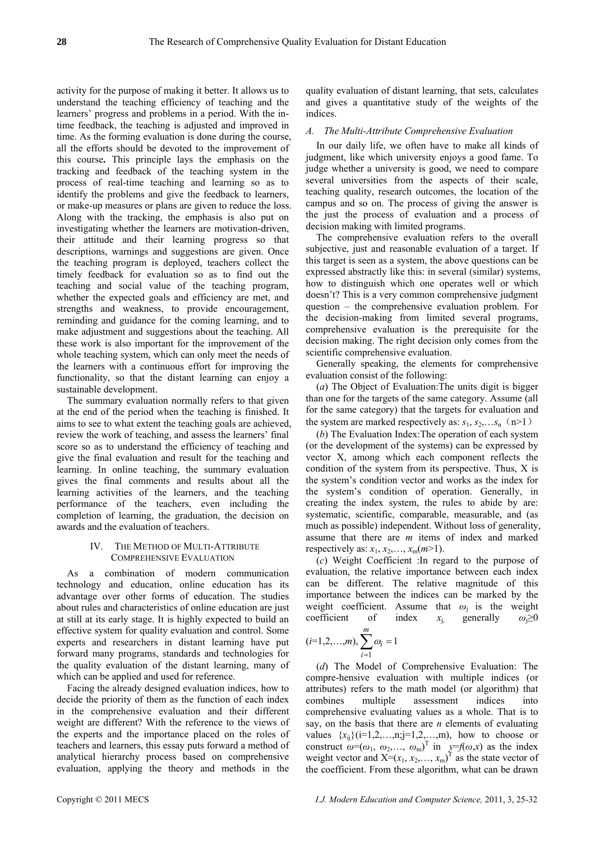activity for the purpose of making it better. It allows us to understand the teaching efficiency of teaching and the learners' progress and problems in a period. With the intime feedback, the teaching is adjusted and improved in time. As the forming evaluation is done during the course, all the efforts should be devoted to the improvement of this course**.** This principle lays the emphasis on the tracking and feedback of the teaching system in the process of real-time teaching and learning so as to identify the problems and give the feedback to learners, or make-up measures or plans are given to reduce the loss. Along with the tracking, the emphasis is also put on investigating whether the learners are motivation-driven, their attitude and their learning progress so that descriptions, warnings and suggestions are given. Once the teaching program is deployed, teachers collect the timely feedback for evaluation so as to find out the teaching and social value of the teaching program, whether the expected goals and efficiency are met, and strengths and weakness, to provide encouragement, reminding and guidance for the coming learning, and to make adjustment and suggestions about the teaching. All these work is also important for the improvement of the whole teaching system, which can only meet the needs of the learners with a continuous effort for improving the functionality, so that the distant learning can enjoy a sustainable development.

The summary evaluation normally refers to that given at the end of the period when the teaching is finished. It aims to see to what extent the teaching goals are achieved, review the work of teaching, and assess the learners' final score so as to understand the efficiency of teaching and give the final evaluation and result for the teaching and learning. In online teaching, the summary evaluation gives the final comments and results about all the learning activities of the learners, and the teaching performance of the teachers, even including the completion of learning, the graduation, the decision on awards and the evaluation of teachers.

#### IV. THE METHOD OF MULTI-ATTRIBUTE COMPREHENSIVE EVALUATION

As a combination of modern communication technology and education, online education has its advantage over other forms of education. The studies about rules and characteristics of online education are just at still at its early stage. It is highly expected to build an effective system for quality evaluation and control. Some experts and researchers in distant learning have put forward many programs, standards and technologies for the quality evaluation of the distant learning, many of which can be applied and used for reference.

Facing the already designed evaluation indices, how to decide the priority of them as the function of each index in the comprehensive evaluation and their different weight are different? With the reference to the views of the experts and the importance placed on the roles of teachers and learners, this essay puts forward a method of analytical hierarchy process based on comprehensive evaluation, applying the theory and methods in the quality evaluation of distant learning, that sets, calculates and gives a quantitative study of the weights of the indices.

# *A. The Multi-Attribute Comprehensive Evaluation*

In our daily life, we often have to make all kinds of judgment, like which university enjoys a good fame. To judge whether a university is good, we need to compare several universities from the aspects of their scale, teaching quality, research outcomes, the location of the campus and so on. The process of giving the answer is the just the process of evaluation and a process of decision making with limited programs.

The comprehensive evaluation refers to the overall subjective, just and reasonable evaluation of a target. If this target is seen as a system, the above questions can be expressed abstractly like this: in several (similar) systems, how to distinguish which one operates well or which doesn't? This is a very common comprehensive judgment question – the comprehensive evaluation problem. For the decision-making from limited several programs, comprehensive evaluation is the prerequisite for the decision making. The right decision only comes from the scientific comprehensive evaluation.

Generally speaking, the elements for comprehensive evaluation consist of the following:

(*a*) The Object of Evaluation:The units digit is bigger than one for the targets of the same category. Assume (all for the same category) that the targets for evaluation and the system are marked respectively as:  $s_1, s_2, \ldots, s_n$  (n>1)

(*b*) The Evaluation Index:The operation of each system (or the development of the systems) can be expressed by vector X, among which each component reflects the condition of the system from its perspective. Thus, X is the system's condition vector and works as the index for the system's condition of operation. Generally, in creating the index system, the rules to abide by are: systematic, scientific, comparable, measurable, and (as much as possible) independent. Without loss of generality, assume that there are *m* items of index and marked respectively as:  $x_1, x_2, \ldots, x_m(m>1)$ .

(*c*) Weight Coefficient :In regard to the purpose of evaluation, the relative importance between each index can be different. The relative magnitude of this importance between the indices can be marked by the weight coefficient. Assume that  $\omega_i$  is the weight coefficient of index  $x_i$  generally  $\omega_i \ge 0$ *m*

$$
(i=1,2,...,m), \sum_{i=1}^{m} \omega_i = 1
$$

(*d*) The Model of Comprehensive Evaluation: The compre-hensive evaluation with multiple indices (or attributes) refers to the math model (or algorithm) that combines multiple assessment indices into comprehensive evaluating values as a whole. That is to say, on the basis that there are *n* elements of evaluating values  $\{x_{ij}\}$ (i=1,2,…,n;j=1,2,…,m), how to choose or construct  $\omega = (\omega_1, \omega_2, \dots, \omega_m)^T$  in  $y = f(\omega, x)$  as the index weight vector and  $X=(x_1, x_2,..., x_m)^T$  as the state vector of the coefficient. From these algorithm, what can be drawn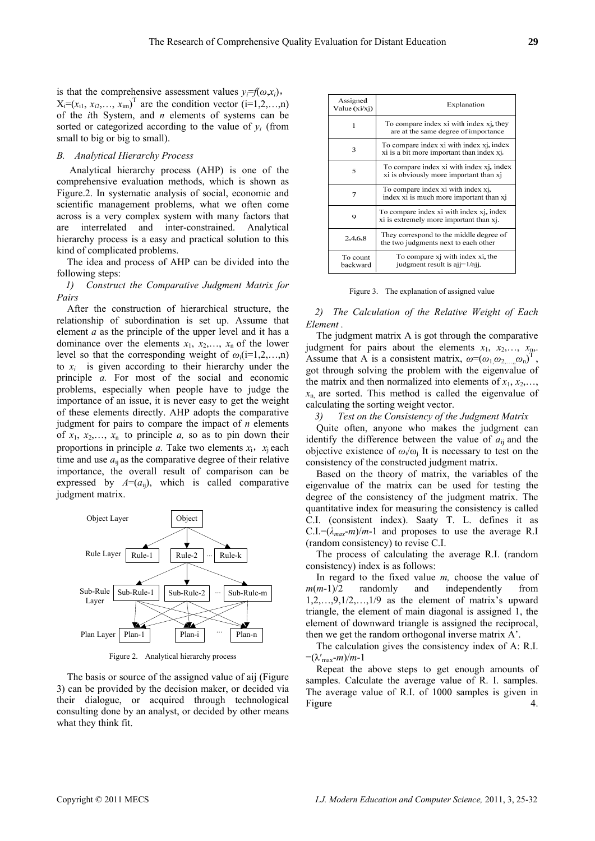is that the comprehensive assessment values  $y_i = f(\omega, x_i)$ ,  $X_i = (x_{i1}, x_{i2},..., x_{im})^\text{T}$  are the condition vector (i=1,2,…,n) of the *i*th System, and *n* elements of systems can be sorted or categorized according to the value of  $y_i$  (from small to big or big to small).

#### *B. Analytical Hierarchy Process*

 Analytical hierarchy process (AHP) is one of the comprehensive evaluation methods, which is shown as Figure.2. In systematic analysis of social, economic and scientific management problems, what we often come across is a very complex system with many factors that are interrelated and inter-constrained. Analytical hierarchy process is a easy and practical solution to this kind of complicated problems.

The idea and process of AHP can be divided into the following steps:

*1) Construct the Comparative Judgment Matrix for Pairs* 

After the construction of hierarchical structure, the relationship of subordination is set up. Assume that element *a* as the principle of the upper level and it has a dominance over the elements  $x_1, x_2, \ldots, x_n$  of the lower level so that the corresponding weight of  $\omega_i$ (i=1,2,...,n) to  $x_i$  is given according to their hierarchy under the principle *a.* For most of the social and economic problems, especially when people have to judge the importance of an issue, it is never easy to get the weight of these elements directly. AHP adopts the comparative judgment for pairs to compare the impact of *n* elements of  $x_1, x_2, \ldots, x_n$  to principle *a*, so as to pin down their proportions in principle *a*. Take two elements  $x_i$ ,  $x_i$  each time and use  $a_{ii}$  as the comparative degree of their relative importance, the overall result of comparison can be expressed by  $A=(a_{ij})$ , which is called comparative judgment matrix.



Figure 2. Analytical hierarchy process

The basis or source of the assigned value of aij (Figure 3) can be provided by the decision maker, or decided via their dialogue, or acquired through technological consulting done by an analyst, or decided by other means what they think fit.

| Assigned<br>Value (xi/xj) | Explanation                                                                                        |
|---------------------------|----------------------------------------------------------------------------------------------------|
| 1                         | To compare index xi with index x <sub>1</sub> , they<br>are at the same degree of importance       |
| 3                         | To compare index xi with index x <sub>1</sub> , index<br>xi is a bit more important than index xi- |
| 5                         | To compare index xi with index x <sub>1</sub> , index<br>xi is obviously more important than xj    |
| 7                         | To compare index xi with index x <sub>1</sub> ,<br>index xi is much more important than xi         |
| 9                         | To compare index xi with index xi, index<br>xi is extremely more important than xj.                |
| 2.4,6,8                   | They correspond to the middle degree of<br>the two judgments next to each other                    |
| To count<br>backward      | To compare x <sub>1</sub> with index xi, the<br>judgment result is ajj=1/ajj.                      |

Figure 3. The explanation of assigned value

# *2) The Calculation of the Relative Weight of Each Element .*

The judgment matrix A is got through the comparative judgment for pairs about the elements  $x_1$ ,  $x_2$ ,  $x_n$ , Assume that A is a consistent matrix,  $\omega = (\omega_1, \omega_2, ..., \omega_n)^T$ , got through solving the problem with the eigenvalue of the matrix and then normalized into elements of  $x_1, x_2, \ldots$  $x_n$  are sorted. This method is called the eigenvalue of calculating the sorting weight vector.

*3) Test on the Consistency of the Judgment Matrix* 

Quite often, anyone who makes the judgment can identify the difference between the value of  $a_{ii}$  and the objective existence of  $\omega_i/\omega_i$ . It is necessary to test on the consistency of the constructed judgment matrix.

Based on the theory of matrix, the variables of the eigenvalue of the matrix can be used for testing the degree of the consistency of the judgment matrix. The quantitative index for measuring the consistency is called C.I. (consistent index). Saaty T. L. defines it as  $C.I = (\lambda_{max}-m)/m-1$  and proposes to use the average R.I (random consistency) to revise C.I.

The process of calculating the average R.I. (random consistency) index is as follows:

In regard to the fixed value *m,* choose the value of *m*(*m*-1)/2 randomly and independently from  $1,2,\ldots,9,1/2,\ldots,1/9$  as the element of matrix's upward triangle, the element of main diagonal is assigned 1, the element of downward triangle is assigned the reciprocal, then we get the random orthogonal inverse matrix A'.

The calculation gives the consistency index of A: R.I.  $=$ ( $\lambda'_{\text{max}}$ *-m*)/*m*-1

Repeat the above steps to get enough amounts of samples. Calculate the average value of R. I. samples. The average value of R.I. of 1000 samples is given in Figure 4.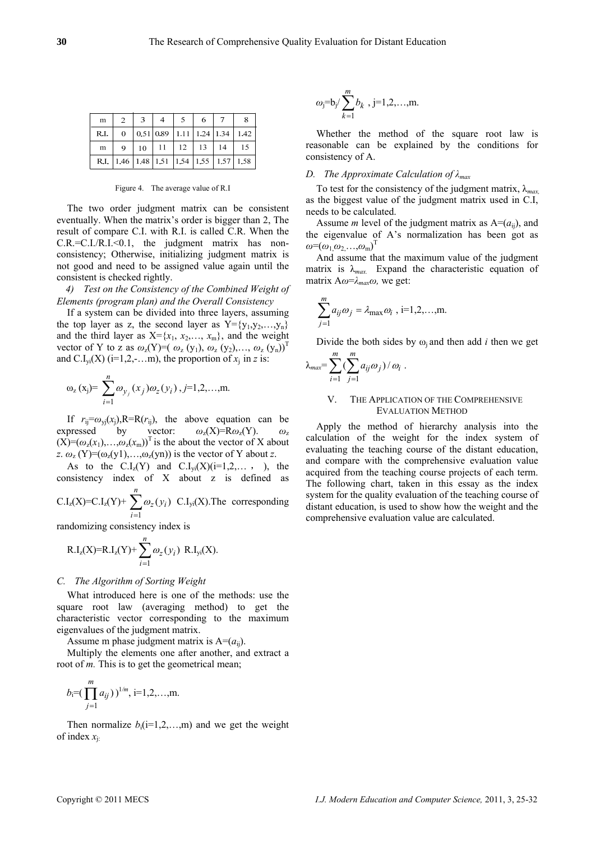| m    | $\overline{2}$                                        |  | - 6                                   |    |
|------|-------------------------------------------------------|--|---------------------------------------|----|
| R.I. | $\theta$                                              |  | $\vert$ 0.51 0.89 1.11 1.24 1.34 1.42 |    |
| m    | $\Omega$                                              |  | $10 \mid 11 \mid 12 \mid 13 \mid 14$  | 15 |
|      | R.I.   1.46   1.48   1.51   1.54   1.55   1.57   1.58 |  |                                       |    |

Figure 4. The average value of R.I

The two order judgment matrix can be consistent eventually. When the matrix's order is bigger than 2, The result of compare C.I. with R.I. is called C.R. When the  $C.R.=C.I/R.I.<0.1$ , the judgment matrix has nonconsistency; Otherwise, initializing judgment matrix is not good and need to be assigned value again until the consistent is checked rightly.

*4) Test on the Consistency of the Combined Weight of Elements (program plan) and the Overall Consistency* 

If a system can be divided into three layers, assuming the top layer as z, the second layer as  $Y = \{y_1, y_2, ..., y_n\}$ and the third layer as  $X = \{x_1, x_2, \ldots, x_m\}$ , and the weight vector of Y to z as  $\omega_z(Y)=(\omega_z(y_1), \omega_z(y_2), \ldots, \omega_z(y_n))^T$ and C.I<sub>vi</sub>(X) (i=1,2,-...m), the proportion of  $x_i$  in *z* is:

$$
\omega_z(x_j) = \sum_{i=1}^n \omega_{y_j}(x_j) \omega_z(y_i), j=1,2,...,m.
$$

If  $r_{ii} = \omega_{vi}(x_i)$ , R=R( $r_{ii}$ ), the above equation can be expressed by vector: *ω*z(X)=R*ω*z(Y). *ω*<sup>z</sup>  $(X)=(\omega_z(x_1),\ldots,\omega_z(x_m))^T$  is the about the vector of X about *z*.  $\omega_z$  (Y)=( $\omega_z$ (y1),..., $\omega_z$ (yn)) is the vector of Y about *z*.

As to the  $C.I_z(Y)$  and  $C.I_{vi}(X)(i=1,2,...,n)$ , the consistency index of X about z is defined as *n*

$$
C.Iz(X)=C.Iz(Y)+\sum_{i=1} \omega_z(y_i) \ C.Iyi(X). The corresponding
$$

randomizing consistency index is

R.I<sub>z</sub>(X)=R.I<sub>z</sub>(Y)+
$$
\sum_{i=1}^{n} \omega_z(y_i)
$$
 R.I<sub>yi</sub>(X).

#### *C. The Algorithm of Sorting Weight*

What introduced here is one of the methods: use the square root law (averaging method) to get the characteristic vector corresponding to the maximum eigenvalues of the judgment matrix.

Assume m phase judgment matrix is  $A=(a_{ii})$ .

Multiply the elements one after another, and extract a root of *m*. This is to get the geometrical mean:

$$
b_i=(\prod_{j=1}^m a_{ij})^{1/m}, i=1,2,...,m.
$$

Then normalize  $b_i(i=1,2,...,m)$  and we get the weight of index *x*j:

$$
\omega_j = b_j / \sum_{k=1}^m b_k
$$
, j=1,2,...,m.

Whether the method of the square root law is reasonable can be explained by the conditions for consistency of A.

#### *D. The Approximate Calculation of λmax*

To test for the consistency of the judgment matrix, λ*max,*  as the biggest value of the judgment matrix used in C.I, needs to be calculated.

Assume *m* level of the judgment matrix as  $A=(a_{ii})$ , and the eigenvalue of A's normalization has been got as  $\omega = (\omega_1, \omega_2, \ldots, \omega_m)^T$ 

And assume that the maximum value of the judgment matrix is  $\lambda_{max}$ . Expand the characteristic equation of matrix A*ω*=*λmaxω,* we get:

$$
\sum_{j=1}^{m} a_{ij} \omega_j = \lambda_{\max} \omega_i , i=1,2,...,m.
$$

Divide the both sides by  $\omega_i$  and then add *i* then we get

$$
\lambda_{max} = \sum_{i=1}^m \left( \sum_{j=1}^m a_{ij} \omega_j \right) / \omega_i \ .
$$

#### V. THE APPLICATION OF THE COMPREHENSIVE EVALUATION METHOD

Apply the method of hierarchy analysis into the calculation of the weight for the index system of evaluating the teaching course of the distant education, and compare with the comprehensive evaluation value acquired from the teaching course projects of each term. The following chart, taken in this essay as the index system for the quality evaluation of the teaching course of distant education, is used to show how the weight and the comprehensive evaluation value are calculated.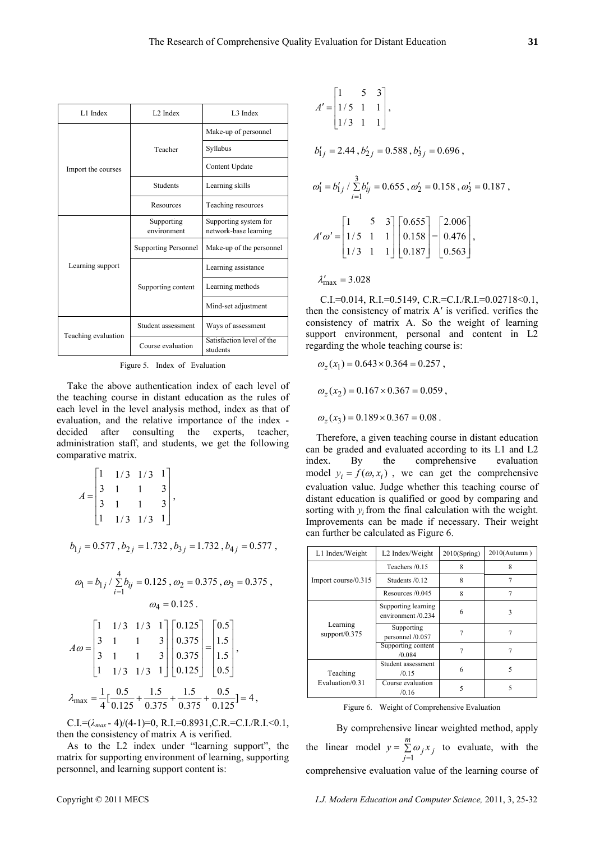| L1 Index            | L <sub>2</sub> Index        | L <sub>3</sub> Index                  |  |
|---------------------|-----------------------------|---------------------------------------|--|
|                     |                             | Make-up of personnel                  |  |
|                     |                             |                                       |  |
| Import the courses  | Teacher                     | Syllabus                              |  |
|                     |                             | Content Update                        |  |
|                     | <b>Students</b>             | Learning skills                       |  |
|                     | <b>Resources</b>            | Teaching resources                    |  |
|                     | Supporting                  | Supporting system for                 |  |
|                     | environment                 | network-base learning                 |  |
| Learning support    | <b>Supporting Personnel</b> | Make-up of the personnel              |  |
|                     |                             | Learning assistance                   |  |
|                     | Supporting content          | Learning methods                      |  |
|                     |                             | Mind-set adjustment                   |  |
|                     | Student assessment          | Ways of assessment                    |  |
| Teaching evaluation | Course evaluation           | Satisfaction level of the<br>students |  |

Figure 5. Index of Evaluation

Take the above authentication index of each level of the teaching course in distant education as the rules of each level in the level analysis method, index as that of evaluation, and the relative importance of the index decided after consulting the experts, teacher, administration staff, and students, we get the following comparative matrix.

$$
A = \begin{bmatrix} 1 & 1/3 & 1/3 & 1 \\ 3 & 1 & 1 & 3 \\ 3 & 1 & 1 & 3 \\ 1 & 1/3 & 1/3 & 1 \end{bmatrix},
$$

$$
b_{1j} = 0.577, b_{2j} = 1.732, b_{3j} = 1.732, b_{4j} = 0.577,
$$

$$
\omega_1 = b_{1j} / \sum_{i=1}^4 b_{ij} = 0.125 , \omega_2 = 0.375 , \omega_3 = 0.375 ,
$$

$$
\omega_4 = 0.125 .
$$

$$
A\omega = \begin{bmatrix} 1 & 1/3 & 1/3 & 1 \\ 3 & 1 & 1 & 3 \\ 3 & 1 & 1 & 3 \\ 1 & 1/3 & 1/3 & 1 \end{bmatrix} \begin{bmatrix} 0.125 \\ 0.375 \\ 0.375 \\ 0.125 \end{bmatrix} = \begin{bmatrix} 0.5 \\ 1.5 \\ 1.5 \\ 0.5 \end{bmatrix},
$$
  

$$
\lambda_{\text{max}} = \frac{1}{4} [\frac{0.5}{0.125} + \frac{1.5}{0.375} + \frac{1.5}{0.375} + \frac{0.5}{0.125}] = 4,
$$

C.I.=(*λmax* - 4)/(4-1)=0, R.I.=0.8931,C.R.=C.I./R.I.<0.1, then the consistency of matrix A is verified.

As to the L2 index under "learning support", the matrix for supporting environment of learning, supporting personnel, and learning support content is:

$$
A' = \begin{bmatrix} 1 & 5 & 3 \\ 1/5 & 1 & 1 \\ 1/3 & 1 & 1 \end{bmatrix},
$$
  
\n
$$
b'_{1j} = 2.44, b'_{2j} = 0.588, b'_{3j} = 0.696,
$$
  
\n
$$
\omega'_1 = b'_{1j} / \sum_{i=1}^3 b'_{ij} = 0.655, \omega'_2 = 0.158, \omega'_3 = 0.187,
$$
  
\n
$$
A'\omega' = \begin{bmatrix} 1 & 5 & 3 \\ 1/5 & 1 & 1 \\ 1/3 & 1 & 1 \end{bmatrix} \begin{bmatrix} 0.655 \\ 0.158 \\ 0.187 \end{bmatrix} = \begin{bmatrix} 2.006 \\ 0.476 \\ 0.563 \end{bmatrix},
$$
  
\n
$$
\lambda'_{\text{max}} = 3.028
$$

C.I.=0.014, R.I.=0.5149, C.R.=C.I./R.I.=0.02718<0.1, then the consistency of matrix A′ is verified. verifies the consistency of matrix A. So the weight of learning support environment, personal and content in L2 regarding the whole teaching course is:

$$
\omega_z(x_1) = 0.643 \times 0.364 = 0.257,
$$
  

$$
\omega_z(x_2) = 0.167 \times 0.367 = 0.059,
$$
  

$$
\omega_z(x_3) = 0.189 \times 0.367 = 0.08.
$$

Therefore, a given teaching course in distant education can be graded and evaluated according to its L1 and L2 index. By the comprehensive evaluation model  $y_i = f(\omega, x_i)$ , we can get the comprehensive evaluation value. Judge whether this teaching course of distant education is qualified or good by comparing and sorting with  $y_i$  from the final calculation with the weight. Improvements can be made if necessary. Their weight can further be calculated as Figure 6.

| L1 Index/Weight              | L2 Index/Weight                           | 2010(Spring) | 2010(Autumn) |
|------------------------------|-------------------------------------------|--------------|--------------|
|                              | Teachers /0.15                            | 8            | 8            |
| Import course/0.315          | Students $/0.12$                          | 8            |              |
|                              | Resources $/0.045$                        | 8            | 7            |
| Learning<br>support/ $0.375$ | Supporting learning<br>environment /0.234 | 6            | 3            |
|                              | Supporting<br>personnel /0.057            |              |              |
|                              | Supporting content<br>/0.084              | 7            | 7            |
| Teaching<br>Evaluation/0.31  | Student assessment<br>/0.15               | 6            | 5            |
|                              | Course evaluation<br>/0.16                | 5            | 5            |

Figure 6. Weight of Comprehensive Evaluation

 By comprehensive linear weighted method, apply the linear model  $y = \sum$ = *m*  $y = \sum_{j=1}^{\infty} \omega_j x_j$  $\omega_i x_i$  to evaluate, with the comprehensive evaluation value of the learning course of